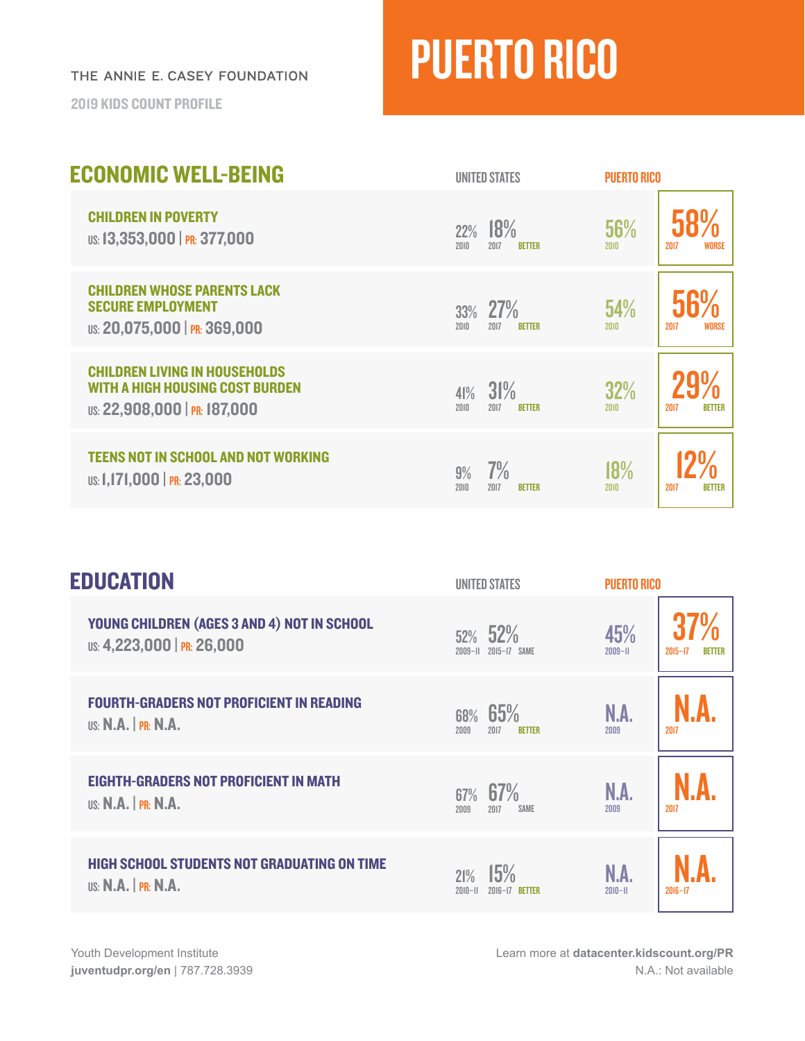THE ANNIE E. CASEY FOUNDATION

2019 KIDS COUNT PROFILE

## PUERTO RICO

| <b>ECONOMIC WELL-BEING</b>                                                                                     | <b>UNITED STATES</b>                        | <b>PUERTO RICO</b>                         |
|----------------------------------------------------------------------------------------------------------------|---------------------------------------------|--------------------------------------------|
| <b>CHILDREN IN POVERTY</b><br>US: 13,353,000   PR: 377,000                                                     | 18%<br>22%<br>2017<br>2010<br><b>BETTER</b> | 56%<br><b>WORSE</b><br>2017<br><b>2010</b> |
| <b>CHILDREN WHOSE PARENTS LACK</b><br><b>SECURE EMPLOYMENT</b><br>US: 20,075,000   PR: 369,000                 | 27%<br>33%<br>2010<br>2017<br><b>BETTER</b> | 54%<br><b>WORSE</b><br>2017<br>2010        |
| <b>CHILDREN LIVING IN HOUSEHOLDS</b><br><b>WITH A HIGH HOUSING COST BURDEN</b><br>US: 22,908,000   PR: 187,000 | 31%<br>41%<br>2010<br>2017<br><b>BETTER</b> | 32%<br>2010<br>2017<br><b>BETTER</b>       |
| <b>TEENS NOT IN SCHOOL AND NOT WORKING</b><br>US: 1,171,000   PR: 23,000                                       | 7%<br>9%<br>2010<br>2017<br><b>RETTER</b>   | 18%<br>2017<br>2010<br><b>BETTER</b>       |

| <b>EDUCATION</b>                                                              | <b>UNITED STATES</b>                        | <b>PUERTO RICO</b>                                |
|-------------------------------------------------------------------------------|---------------------------------------------|---------------------------------------------------|
| YOUNG CHILDREN (AGES 3 AND 4) NOT IN SCHOOL<br>US: 4,223,000   PR: 26,000     | $52\%$ 52%<br>2009-11 2015-17 SAME          | 45%<br>$2009 - H$<br>$2015 - 17$<br><b>BETTER</b> |
| <b>FOURTH-GRADERS NOT PROFICIENT IN READING</b><br><b>US: N.A.</b>   PR: N.A. | 65%<br>68%<br>2009<br>2017<br><b>BETTER</b> | N.A.<br>2017<br>2009                              |
| <b>EIGHTH-GRADERS NOT PROFICIENT IN MATH</b><br><b>US: N.A.</b>   PR: N.A.    | 67%<br>67%<br><b>SAME</b><br>2009<br>2017   | N.A.<br>2017<br>2009                              |
| <b>HIGH SCHOOL STUDENTS NOT GRADUATING ON TIME</b><br>$US: N.A.$ $PR: N.A.$   | 15%<br>21%<br>$2010 - 11$<br>2016-17 RETTER | N.A<br>$2010 - 11$<br>$2016 - 17$                 |

Learn more at **[datacenter.kidscount.org/PR](https://datacenter.kidscount.org/data#PR/2/0/char/0
)** N.A.: Not available